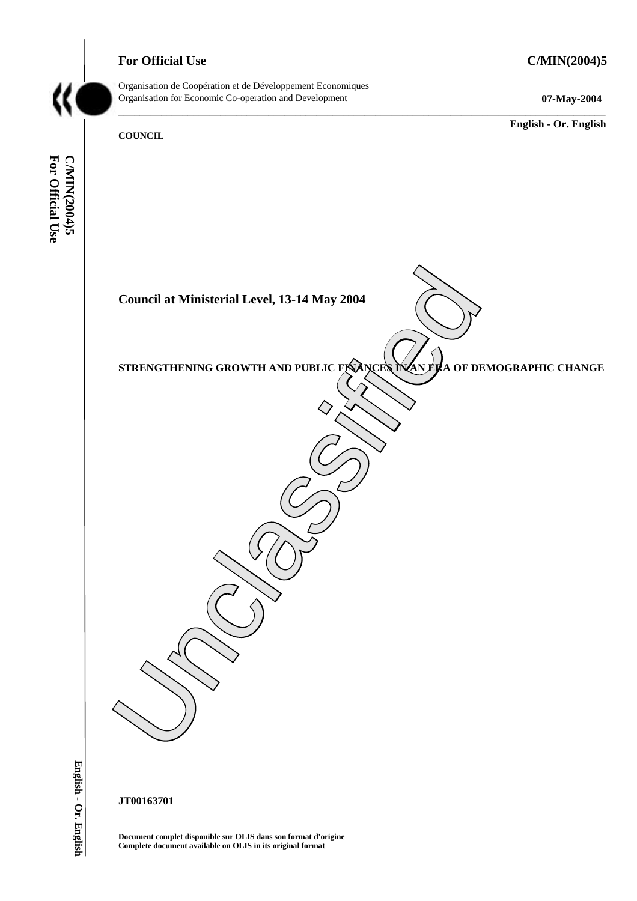## **For Official Use C/MIN(2004)5**

Organisation de Coopération et de Développement Economiques Organisation for Economic Co-operation and Development **07-May-2004** 

**English - Or. English** 

**COUNCIL** 



\_\_\_\_\_\_\_\_\_\_\_\_\_\_\_\_\_\_\_\_\_\_\_\_\_\_\_\_\_\_\_\_\_\_\_\_\_\_\_\_\_\_\_\_\_\_\_\_\_\_\_\_\_\_\_\_\_\_\_\_\_\_\_\_\_\_\_\_\_\_\_\_\_\_\_\_\_\_\_\_\_\_\_\_\_\_\_\_\_\_\_

**JT00163701** 

**Document complet disponible sur OLIS dans son format d'origine Complete document available on OLIS in its original format**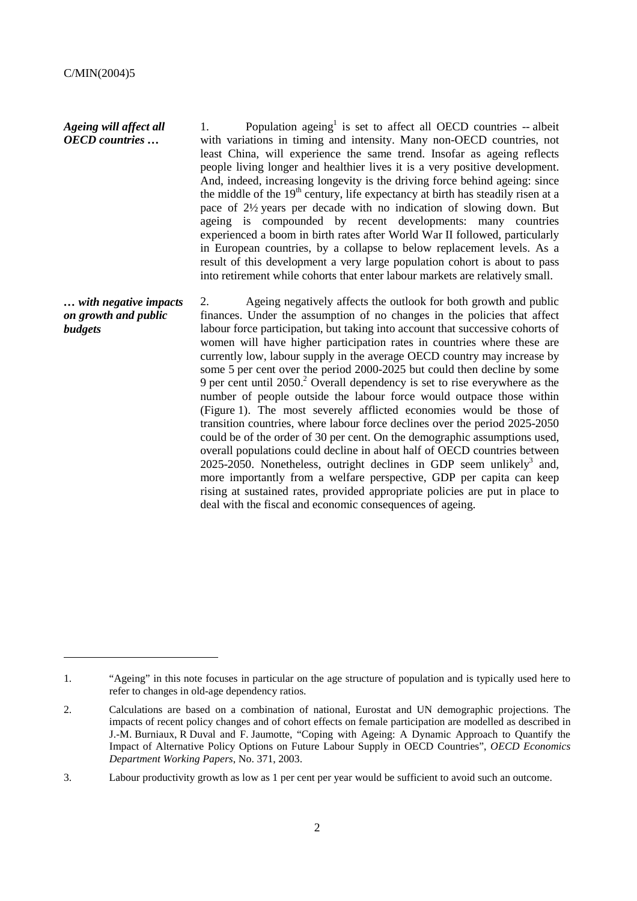$\overline{a}$ 

*Ageing will affect all OECD countries …*  1. Population ageing<sup>1</sup> is set to affect all OECD countries  $-$  albeit with variations in timing and intensity. Many non-OECD countries, not least China, will experience the same trend. Insofar as ageing reflects people living longer and healthier lives it is a very positive development. And, indeed, increasing longevity is the driving force behind ageing: since the middle of the  $19<sup>th</sup>$  century, life expectancy at birth has steadily risen at a pace of 2½ years per decade with no indication of slowing down. But ageing is compounded by recent developments: many countries experienced a boom in birth rates after World War II followed, particularly in European countries, by a collapse to below replacement levels. As a result of this development a very large population cohort is about to pass into retirement while cohorts that enter labour markets are relatively small. *… with negative impacts on growth and public budgets*  2. Ageing negatively affects the outlook for both growth and public finances. Under the assumption of no changes in the policies that affect labour force participation, but taking into account that successive cohorts of women will have higher participation rates in countries where these are currently low, labour supply in the average OECD country may increase by some 5 per cent over the period 2000-2025 but could then decline by some 9 per cent until  $2050$ <sup>2</sup> Overall dependency is set to rise everywhere as the number of people outside the labour force would outpace those within (Figure 1). The most severely afflicted economies would be those of transition countries, where labour force declines over the period 2025-2050 could be of the order of 30 per cent. On the demographic assumptions used, overall populations could decline in about half of OECD countries between 2025-2050. Nonetheless, outright declines in GDP seem unlikely<sup>3</sup> and, more importantly from a welfare perspective, GDP per capita can keep rising at sustained rates, provided appropriate policies are put in place to deal with the fiscal and economic consequences of ageing.

<sup>1. &</sup>quot;Ageing" in this note focuses in particular on the age structure of population and is typically used here to refer to changes in old-age dependency ratios.

<sup>2.</sup> Calculations are based on a combination of national, Eurostat and UN demographic projections. The impacts of recent policy changes and of cohort effects on female participation are modelled as described in J.-M. Burniaux, R Duval and F. Jaumotte, "Coping with Ageing: A Dynamic Approach to Quantify the Impact of Alternative Policy Options on Future Labour Supply in OECD Countries", *OECD Economics Department Working Papers*, No. 371, 2003.

<sup>3.</sup> Labour productivity growth as low as 1 per cent per year would be sufficient to avoid such an outcome.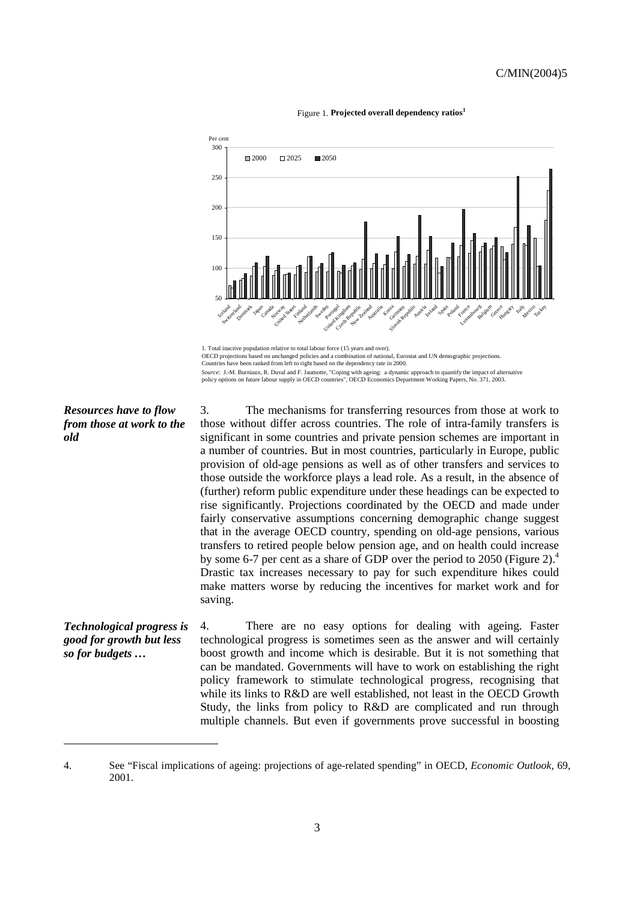

Figure 1. **Projected overall dependency ratios<sup>1</sup>**

1. Total inactive population relative to total labour force (15 years and over). OECD projections based on unchanged policies and a combination of national, Eurostat and UN demographic projections. Countries have been ranked from left to right based on the dependency rate in 2000. Source: J.-M. Burniaux, R. Duval and F. Jaumotte, "Coping with ageing: a dynamic approach to quantify the impact of alternative<br>policy options on future labour supply in OECD countries", OECD Economics Department Working P

*Resources have to flow from those at work to the old* 

 $\overline{a}$ 

3. The mechanisms for transferring resources from those at work to those without differ across countries. The role of intra-family transfers is significant in some countries and private pension schemes are important in a number of countries. But in most countries, particularly in Europe, public provision of old-age pensions as well as of other transfers and services to those outside the workforce plays a lead role. As a result, in the absence of (further) reform public expenditure under these headings can be expected to rise significantly. Projections coordinated by the OECD and made under fairly conservative assumptions concerning demographic change suggest that in the average OECD country, spending on old-age pensions, various transfers to retired people below pension age, and on health could increase by some 6-7 per cent as a share of GDP over the period to 2050 (Figure 2).4 Drastic tax increases necessary to pay for such expenditure hikes could make matters worse by reducing the incentives for market work and for saving.

*Technological progress is good for growth but less so for budgets …*  4. There are no easy options for dealing with ageing. Faster technological progress is sometimes seen as the answer and will certainly boost growth and income which is desirable. But it is not something that can be mandated. Governments will have to work on establishing the right policy framework to stimulate technological progress, recognising that while its links to R&D are well established, not least in the OECD Growth Study, the links from policy to R&D are complicated and run through multiple channels. But even if governments prove successful in boosting

<sup>4.</sup> See "Fiscal implications of ageing: projections of age-related spending" in OECD, *Economic Outlook,* 69, 2001.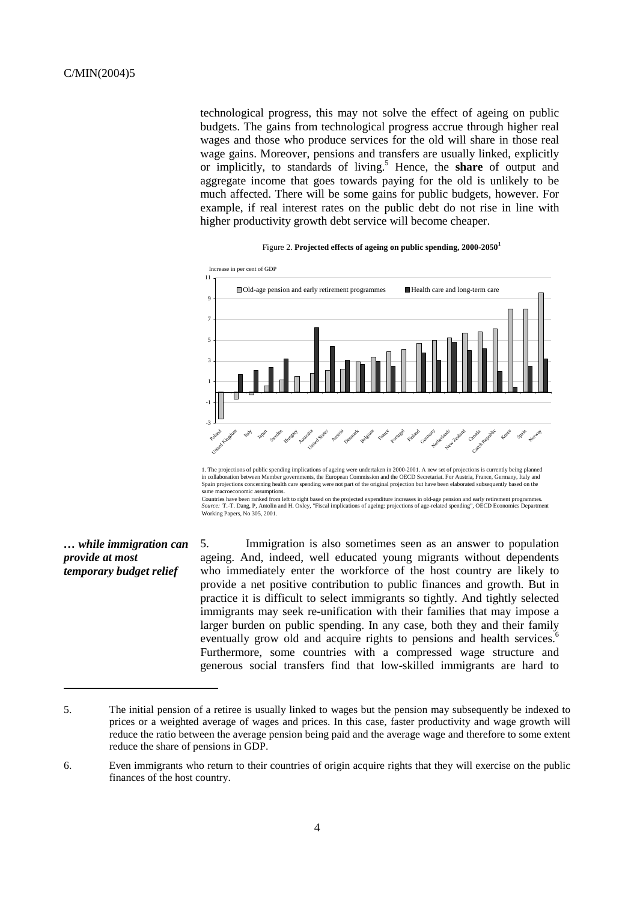technological progress, this may not solve the effect of ageing on public budgets. The gains from technological progress accrue through higher real wages and those who produce services for the old will share in those real wage gains. Moreover, pensions and transfers are usually linked, explicitly or implicitly, to standards of living.<sup>5</sup> Hence, the **share** of output and aggregate income that goes towards paying for the old is unlikely to be much affected. There will be some gains for public budgets, however. For example, if real interest rates on the public debt do not rise in line with higher productivity growth debt service will become cheaper.



Figure 2. **Projected effects of ageing on public spending, 2000-2050<sup>1</sup>**

1. The projections of public spending implications of ageing were undertaken in 2000-2001. A new set of projections is currently being planned in collaboration between Member governments, the European Commission and the OECD Secretariat. For Austria, France, Germany, Italy and<br>Spain projections concerning health care spending were not part of the original project same macroeconomic assumptions.

Countries have been ranked from left to right based on the projected expenditure increases in old-age pension and early retirement programmes. *Source:* T.-T. Dang, P, Antolin and H. Oxley, "Fiscal implications of ageing: projections of age-related spending", OECD Economics Department Working Papers, No 305, 2001.

## *… while immigration can provide at most temporary budget relief*

 $\overline{a}$ 

5. Immigration is also sometimes seen as an answer to population ageing. And, indeed, well educated young migrants without dependents who immediately enter the workforce of the host country are likely to provide a net positive contribution to public finances and growth. But in practice it is difficult to select immigrants so tightly. And tightly selected immigrants may seek re-unification with their families that may impose a larger burden on public spending. In any case, both they and their family eventually grow old and acquire rights to pensions and health services.<sup>6</sup> Furthermore, some countries with a compressed wage structure and generous social transfers find that low-skilled immigrants are hard to

<sup>5.</sup> The initial pension of a retiree is usually linked to wages but the pension may subsequently be indexed to prices or a weighted average of wages and prices. In this case, faster productivity and wage growth will reduce the ratio between the average pension being paid and the average wage and therefore to some extent reduce the share of pensions in GDP.

<sup>6.</sup> Even immigrants who return to their countries of origin acquire rights that they will exercise on the public finances of the host country.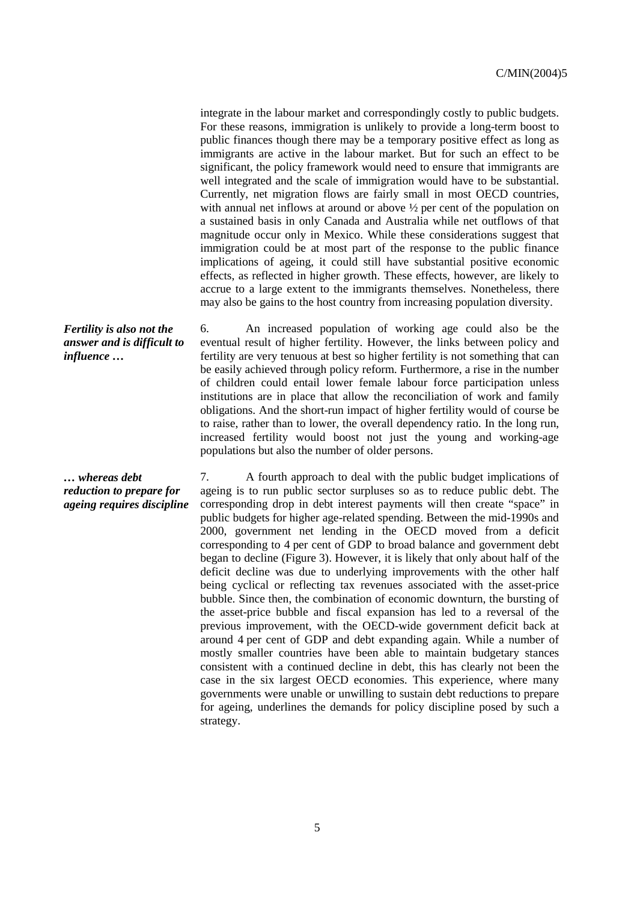integrate in the labour market and correspondingly costly to public budgets. For these reasons, immigration is unlikely to provide a long-term boost to public finances though there may be a temporary positive effect as long as immigrants are active in the labour market. But for such an effect to be significant, the policy framework would need to ensure that immigrants are well integrated and the scale of immigration would have to be substantial. Currently, net migration flows are fairly small in most OECD countries, with annual net inflows at around or above  $\frac{1}{2}$  per cent of the population on a sustained basis in only Canada and Australia while net outflows of that magnitude occur only in Mexico. While these considerations suggest that immigration could be at most part of the response to the public finance implications of ageing, it could still have substantial positive economic effects, as reflected in higher growth. These effects, however, are likely to accrue to a large extent to the immigrants themselves. Nonetheless, there may also be gains to the host country from increasing population diversity.

*Fertility is also not the answer and is difficult to influence …* 

6. An increased population of working age could also be the eventual result of higher fertility. However, the links between policy and fertility are very tenuous at best so higher fertility is not something that can be easily achieved through policy reform. Furthermore, a rise in the number of children could entail lower female labour force participation unless institutions are in place that allow the reconciliation of work and family obligations. And the short-run impact of higher fertility would of course be to raise, rather than to lower, the overall dependency ratio. In the long run, increased fertility would boost not just the young and working-age populations but also the number of older persons.

*… whereas debt reduction to prepare for ageing requires discipline*  7. A fourth approach to deal with the public budget implications of ageing is to run public sector surpluses so as to reduce public debt. The corresponding drop in debt interest payments will then create "space" in public budgets for higher age-related spending. Between the mid-1990s and 2000, government net lending in the OECD moved from a deficit corresponding to 4 per cent of GDP to broad balance and government debt began to decline (Figure 3). However, it is likely that only about half of the deficit decline was due to underlying improvements with the other half being cyclical or reflecting tax revenues associated with the asset-price bubble. Since then, the combination of economic downturn, the bursting of the asset-price bubble and fiscal expansion has led to a reversal of the previous improvement, with the OECD-wide government deficit back at around 4 per cent of GDP and debt expanding again. While a number of mostly smaller countries have been able to maintain budgetary stances consistent with a continued decline in debt, this has clearly not been the case in the six largest OECD economies. This experience, where many governments were unable or unwilling to sustain debt reductions to prepare for ageing, underlines the demands for policy discipline posed by such a strategy.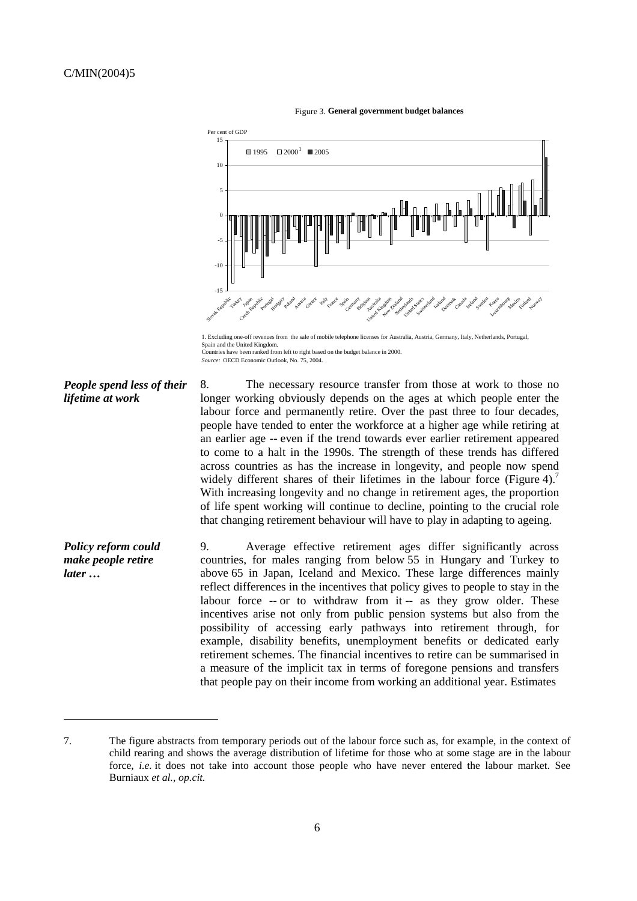

Figure 3. **General government budget balances**

Spain and the United Kingdom Countries have been ranked from left to right based on the budget balance in 2000. *Source:* OECD Economic Outlook, No. 75, 2004.

*People spend less of their lifetime at work* 

*Policy reform could make people retire* 

*later …* 

 $\overline{a}$ 

8. The necessary resource transfer from those at work to those no longer working obviously depends on the ages at which people enter the labour force and permanently retire. Over the past three to four decades, people have tended to enter the workforce at a higher age while retiring at an earlier age -- even if the trend towards ever earlier retirement appeared to come to a halt in the 1990s. The strength of these trends has differed across countries as has the increase in longevity, and people now spend widely different shares of their lifetimes in the labour force (Figure 4).<sup>7</sup> With increasing longevity and no change in retirement ages, the proportion of life spent working will continue to decline, pointing to the crucial role that changing retirement behaviour will have to play in adapting to ageing.

9. Average effective retirement ages differ significantly across countries, for males ranging from below 55 in Hungary and Turkey to above 65 in Japan, Iceland and Mexico. These large differences mainly reflect differences in the incentives that policy gives to people to stay in the labour force -- or to withdraw from it -- as they grow older. These incentives arise not only from public pension systems but also from the possibility of accessing early pathways into retirement through, for example, disability benefits, unemployment benefits or dedicated early retirement schemes. The financial incentives to retire can be summarised in a measure of the implicit tax in terms of foregone pensions and transfers that people pay on their income from working an additional year. Estimates

<sup>7.</sup> The figure abstracts from temporary periods out of the labour force such as, for example, in the context of child rearing and shows the average distribution of lifetime for those who at some stage are in the labour force, *i.e.* it does not take into account those people who have never entered the labour market. See Burniaux *et al.*, *op.cit.*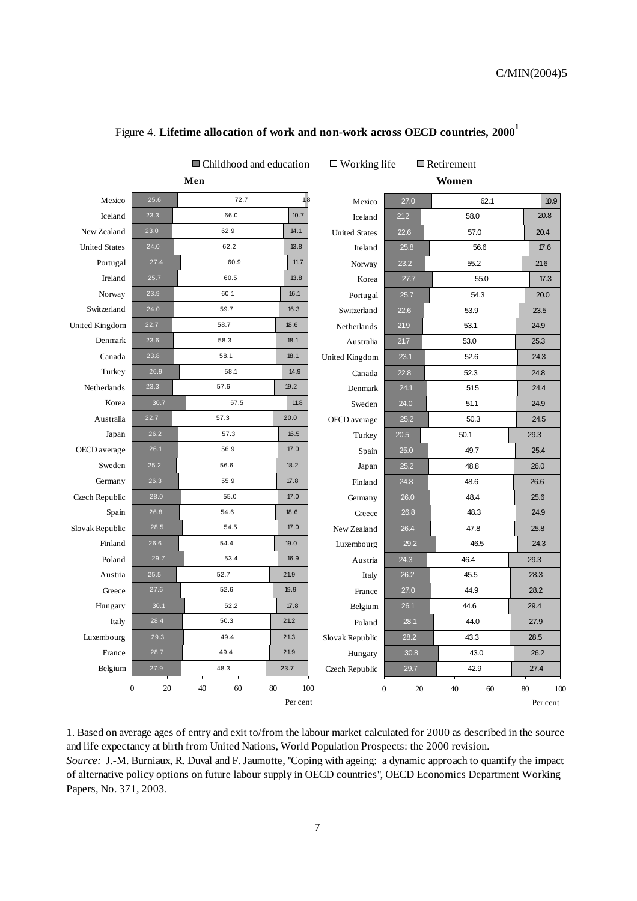|                      |                        | Men      |                       | Women                |                        |          |                       |
|----------------------|------------------------|----------|-----------------------|----------------------|------------------------|----------|-----------------------|
| Mexico               | 25.6                   | 72.7     |                       | Mexico               | 27.0                   | 62.1     | 10.9                  |
| Iceland              | 23.3                   | 66.0     | 10.7                  | Iceland              | 21.2                   | 58.0     | 20.8                  |
| New Zealand          | 23.0                   | 62.9     | 14.1                  | <b>United States</b> | 22.6                   | 57.0     | 20.4                  |
| <b>United States</b> | 24.0                   | 62.2     | 13.8                  | Ireland              | 25.8                   | 56.6     | 17.6                  |
| Portugal             | 27.4                   | 60.9     | 11.7                  | Norway               | 23.2                   | 55.2     | 216                   |
| Ireland              | 25.7                   | 60.5     | 13.8                  | Korea                | 27.7                   | 55.0     | 17.3                  |
| Norway               | 23.9                   | 60.1     | 16.1                  | Portugal             | 25.7                   | 54.3     | 20.0                  |
| Switzerland          | 24.0                   | 59.7     | 16.3                  | Switzerland          | 22.6                   | 53.9     | 23.5                  |
| United Kingdom       | 22.7                   | 58.7     | 18.6                  | Netherlands          | 21.9                   | 53.1     | 24.9                  |
| Denmark              | 23.6                   | 58.3     | 18.1                  | Australia            | 21.7                   | 53.0     | 25.3                  |
| Canada               | 23.8                   | 58.1     | 18.1                  | United Kingdom       | 23.1                   | 52.6     | 24.3                  |
| Turkey               | 26.9                   | 58.1     | 14.9                  | Canada               | 22.8                   | 52.3     | 24.8                  |
| Netherlands          | 23.3                   | 57.6     | 19.2                  | Denmark              | 24.1                   | 515      | 24.4                  |
| Korea                | 30.7                   | 57.5     | 11.8                  | Sweden               | 24.0                   | 51.1     | 24.9                  |
| Australia            | 22.7                   | 57.3     | 20.0                  | OECD average         | 25.2                   | 50.3     | 24.5                  |
| Japan                | 26.2                   | 57.3     | 16.5                  | Turkey               | 20.5                   | 50.1     | 29.3                  |
| OECD average         | 26.1                   | 56.9     | 17.0                  | Spain                | 25.0                   | 49.7     | 25.4                  |
| Sweden               | 25.2                   | 56.6     | 18.2                  | Japan                | 25.2                   | 48.8     | 26.0                  |
| Germany              | 26.3                   | 55.9     | 17.8                  | Finland              | 24.8                   | 48.6     | 26.6                  |
| Czech Republic       | 28.0                   | 55.0     | 17.0                  | Germany              | 26.0                   | 48.4     | 25.6                  |
| Spain                | 26.8                   | 54.6     | 18.6                  | Greece               | 26.8                   | 48.3     | 24.9                  |
| Slovak Republic      | 28.5                   | 54.5     | 17.0                  | New Zealand          | 26.4                   | 47.8     | 25.8                  |
| Finland              | 26.6                   | 54.4     | 19.0                  | Luxembourg           | 29.2                   | 46.5     | 24.3                  |
| Poland               | 29.7                   | 53.4     | 16.9                  | Austria              | 24.3                   | 46.4     | 29.3                  |
| Austria              | 25.5                   | 52.7     | 21.9                  | Italy                | 26.2                   | 45.5     | 28.3                  |
| Greece               | 27.6                   | 52.6     | 19.9                  | France               | 27.0                   | 44.9     | 28.2                  |
| Hungary              | 30.1                   | 52.2     | 17.8                  | Belgium              | 26.1                   | 44.6     | 29.4                  |
| Italy                | 28.4                   | 50.3     | 21.2                  | Poland               | 28.1                   | 44.0     | 27.9                  |
| Luxembourg           | 29.3                   | 49.4     | 21.3                  | Slovak Republic      | 28.2                   | 43.3     | 28.5                  |
| France               | 28.7                   | 49.4     | 21.9                  | Hungary              | 30.8                   | 43.0     | 26.2                  |
| Belgium              | 27.9                   | 48.3     | 23.7                  | Czech Republic       | 29.7                   | 42.9     | 27.4                  |
|                      | $\boldsymbol{0}$<br>20 | 60<br>40 | 100<br>80<br>Per cent |                      | $\boldsymbol{0}$<br>20 | 40<br>60 | 80<br>100<br>Per cent |

# Figure 4. **Lifetime allocation of work and non-work across OECD countries, 2000<sup>1</sup>**

 $\Box$  Childhood and education  $\Box$  Working life  $\Box$  Retirement

1. Based on average ages of entry and exit to/from the labour market calculated for 2000 as described in the source and life expectancy at birth from United Nations, World Population Prospects: the 2000 revision. *Source:* J.-M. Burniaux, R. Duval and F. Jaumotte, "Coping with ageing: a dynamic approach to quantify the impact of alternative policy options on future labour supply in OECD countries", OECD Economics Department Working Papers, No. 371, 2003.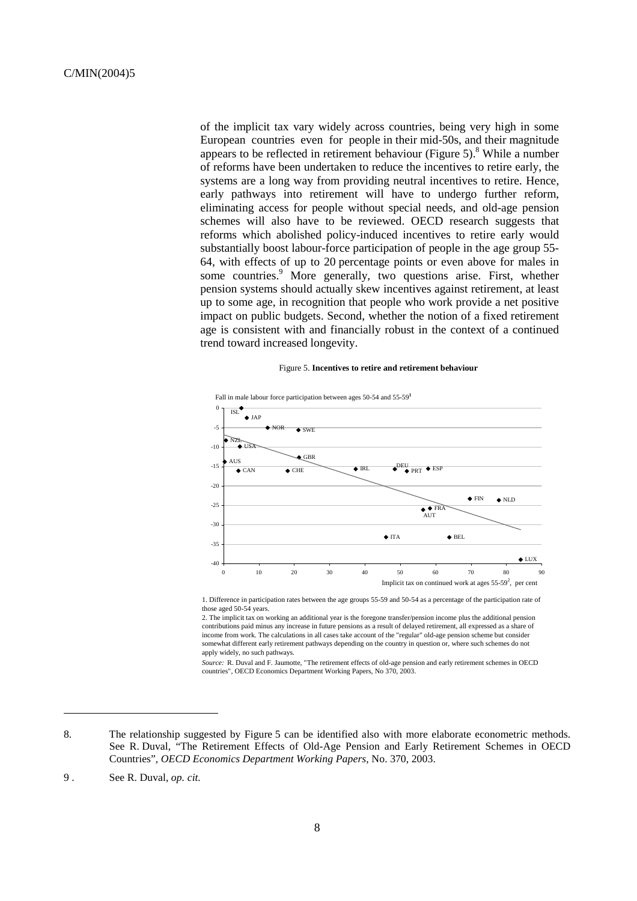of the implicit tax vary widely across countries, being very high in some European countries even for people in their mid-50s, and their magnitude appears to be reflected in retirement behaviour (Figure 5).<sup>8</sup> While a number of reforms have been undertaken to reduce the incentives to retire early, the systems are a long way from providing neutral incentives to retire. Hence, early pathways into retirement will have to undergo further reform, eliminating access for people without special needs, and old-age pension schemes will also have to be reviewed. OECD research suggests that reforms which abolished policy-induced incentives to retire early would substantially boost labour-force participation of people in the age group 55- 64, with effects of up to 20 percentage points or even above for males in some countries.<sup>9</sup> More generally, two questions arise. First, whether pension systems should actually skew incentives against retirement, at least up to some age, in recognition that people who work provide a net positive impact on public budgets. Second, whether the notion of a fixed retirement age is consistent with and financially robust in the context of a continued trend toward increased longevity.

### Figure 5. **Incentives to retire and retirement behaviour**



<sup>1.</sup> Difference in participation rates between the age groups 55-59 and 50-54 as a percentage of the participation rate of those aged 50-54 years.

*Source:* R. Duval and F. Jaumotte, "The retirement effects of old-age pension and early retirement schemes in OECD countries", OECD Economics Department Working Papers, No 370, 2003.

 $\overline{a}$ 

<sup>2.</sup> The implicit tax on working an additional year is the foregone transfer/pension income plus the additional pension contributions paid minus any increase in future pensions as a result of delayed retirement, all expressed as a share of income from work. The calculations in all cases take account of the "regular" old-age pension scheme but consider somewhat different early retirement pathways depending on the country in question or, where such schemes do not apply widely, no such pathways.

<sup>8.</sup> The relationship suggested by Figure 5 can be identified also with more elaborate econometric methods. See R. Duval, "The Retirement Effects of Old-Age Pension and Early Retirement Schemes in OECD Countries", *OECD Economics Department Working Papers*, No. 370, 2003.

<sup>9 .</sup> See R. Duval, *op. cit.*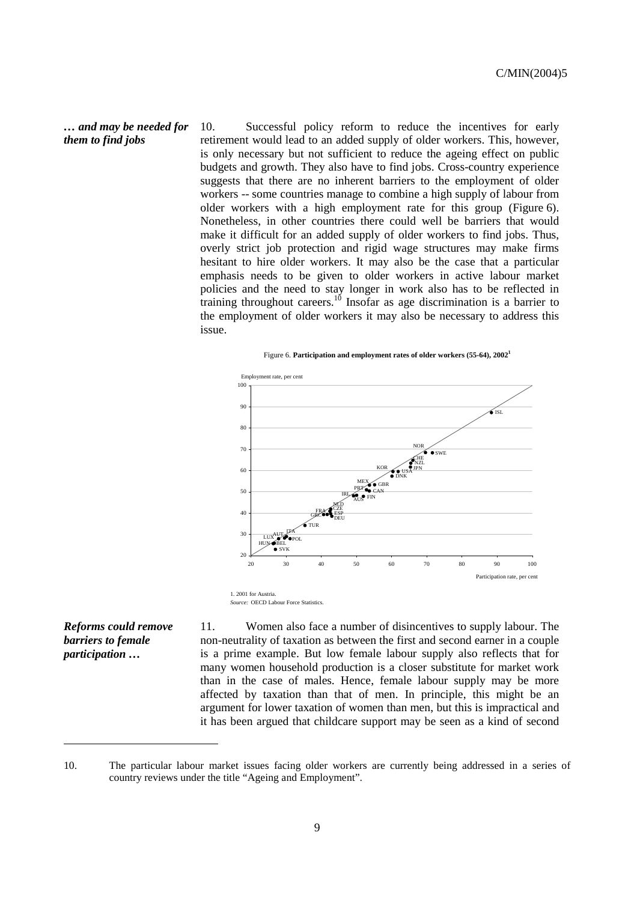### *… and may be needed for them to find jobs*

10. Successful policy reform to reduce the incentives for early retirement would lead to an added supply of older workers. This, however, is only necessary but not sufficient to reduce the ageing effect on public budgets and growth. They also have to find jobs. Cross-country experience suggests that there are no inherent barriers to the employment of older workers -- some countries manage to combine a high supply of labour from older workers with a high employment rate for this group (Figure 6). Nonetheless, in other countries there could well be barriers that would make it difficult for an added supply of older workers to find jobs. Thus, overly strict job protection and rigid wage structures may make firms hesitant to hire older workers. It may also be the case that a particular emphasis needs to be given to older workers in active labour market policies and the need to stay longer in work also has to be reflected in training throughout careers.<sup>10</sup> Insofar as age discrimination is a barrier to the employment of older workers it may also be necessary to address this issue.





*Source:* OECD Labour Force Statistics.

*Reforms could remove barriers to female participation …* 

 $\overline{a}$ 

11. Women also face a number of disincentives to supply labour. The non-neutrality of taxation as between the first and second earner in a couple is a prime example. But low female labour supply also reflects that for many women household production is a closer substitute for market work than in the case of males. Hence, female labour supply may be more affected by taxation than that of men. In principle, this might be an argument for lower taxation of women than men, but this is impractical and it has been argued that childcare support may be seen as a kind of second

<sup>10.</sup> The particular labour market issues facing older workers are currently being addressed in a series of country reviews under the title "Ageing and Employment".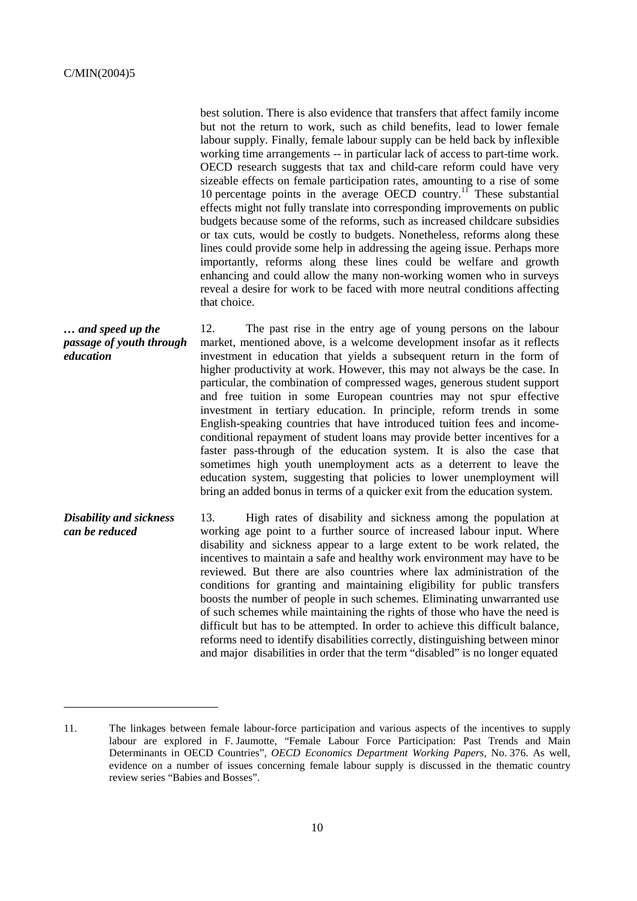$\overline{a}$ 

|                                                           | best solution. There is also evidence that transfers that affect family income<br>but not the return to work, such as child benefits, lead to lower female<br>labour supply. Finally, female labour supply can be held back by inflexible<br>working time arrangements -- in particular lack of access to part-time work.<br>OECD research suggests that tax and child-care reform could have very<br>sizeable effects on female participation rates, amounting to a rise of some<br>10 percentage points in the average OECD country. <sup>11</sup> These substantial<br>effects might not fully translate into corresponding improvements on public<br>budgets because some of the reforms, such as increased childcare subsidies<br>or tax cuts, would be costly to budgets. Nonetheless, reforms along these<br>lines could provide some help in addressing the ageing issue. Perhaps more<br>importantly, reforms along these lines could be welfare and growth<br>enhancing and could allow the many non-working women who in surveys<br>reveal a desire for work to be faced with more neutral conditions affecting<br>that choice. |
|-----------------------------------------------------------|--------------------------------------------------------------------------------------------------------------------------------------------------------------------------------------------------------------------------------------------------------------------------------------------------------------------------------------------------------------------------------------------------------------------------------------------------------------------------------------------------------------------------------------------------------------------------------------------------------------------------------------------------------------------------------------------------------------------------------------------------------------------------------------------------------------------------------------------------------------------------------------------------------------------------------------------------------------------------------------------------------------------------------------------------------------------------------------------------------------------------------------------|
| and speed up the<br>passage of youth through<br>education | 12.<br>The past rise in the entry age of young persons on the labour<br>market, mentioned above, is a welcome development insofar as it reflects<br>investment in education that yields a subsequent return in the form of<br>higher productivity at work. However, this may not always be the case. In<br>particular, the combination of compressed wages, generous student support<br>and free tuition in some European countries may not spur effective<br>investment in tertiary education. In principle, reform trends in some<br>English-speaking countries that have introduced tuition fees and income-<br>conditional repayment of student loans may provide better incentives for a<br>faster pass-through of the education system. It is also the case that<br>sometimes high youth unemployment acts as a deterrent to leave the<br>education system, suggesting that policies to lower unemployment will<br>bring an added bonus in terms of a quicker exit from the education system.                                                                                                                                        |
| <b>Disability and sickness</b><br>can be reduced          | 13.<br>High rates of disability and sickness among the population at<br>working age point to a further source of increased labour input. Where<br>disability and sickness appear to a large extent to be work related, the<br>incentives to maintain a safe and healthy work environment may have to be<br>reviewed. But there are also countries where lax administration of the<br>conditions for granting and maintaining eligibility for public transfers<br>boosts the number of people in such schemes. Eliminating unwarranted use<br>of such schemes while maintaining the rights of those who have the need is<br>difficult but has to be attempted. In order to achieve this difficult balance,<br>reforms need to identify disabilities correctly, distinguishing between minor<br>and major disabilities in order that the term "disabled" is no longer equated                                                                                                                                                                                                                                                                |

<sup>11.</sup> The linkages between female labour-force participation and various aspects of the incentives to supply labour are explored in F. Jaumotte, "Female Labour Force Participation: Past Trends and Main Determinants in OECD Countries", *OECD Economics Department Working Papers,* No. 376. As well, evidence on a number of issues concerning female labour supply is discussed in the thematic country review series "Babies and Bosses".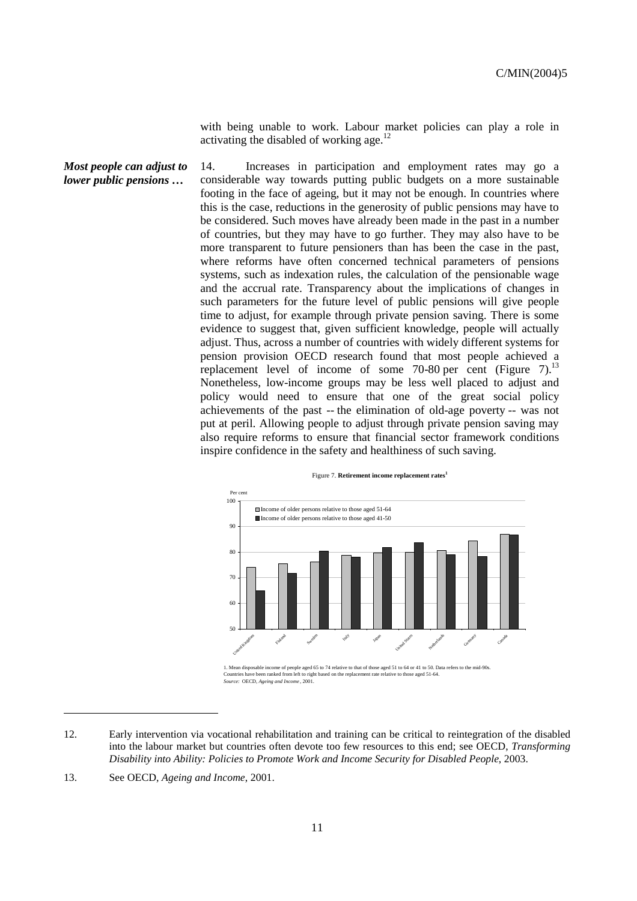with being unable to work. Labour market policies can play a role in activating the disabled of working age. $^{12}$ 

*Most people can adjust to lower public pensions …*  14. Increases in participation and employment rates may go a considerable way towards putting public budgets on a more sustainable footing in the face of ageing, but it may not be enough. In countries where this is the case, reductions in the generosity of public pensions may have to be considered. Such moves have already been made in the past in a number of countries, but they may have to go further. They may also have to be more transparent to future pensioners than has been the case in the past, where reforms have often concerned technical parameters of pensions systems, such as indexation rules, the calculation of the pensionable wage and the accrual rate. Transparency about the implications of changes in such parameters for the future level of public pensions will give people time to adjust, for example through private pension saving. There is some evidence to suggest that, given sufficient knowledge, people will actually adjust. Thus, across a number of countries with widely different systems for pension provision OECD research found that most people achieved a replacement level of income of some 70-80 per cent (Figure 7).<sup>13</sup> Nonetheless, low-income groups may be less well placed to adjust and policy would need to ensure that one of the great social policy achievements of the past -- the elimination of old-age poverty -- was not put at peril. Allowing people to adjust through private pension saving may also require reforms to ensure that financial sector framework conditions inspire confidence in the safety and healthiness of such saving.



#### Figure 7. **Retirement income replacement rates**<sup>1</sup>

1. Mean disposable income of people aged 65 to 74 relative to that of those aged 51 to 64 or 41 to 50. Data refers to the mid-90s.<br>Countries have been ranked from left to right based on the replacement rate relative to tho *Source:* OECD, *Ageing and Income* , 2001.

 $\overline{a}$ 

<sup>12.</sup> Early intervention via vocational rehabilitation and training can be critical to reintegration of the disabled into the labour market but countries often devote too few resources to this end; see OECD, *Transforming Disability into Ability: Policies to Promote Work and Income Security for Disabled People*, 2003.

<sup>13.</sup> See OECD, *Ageing and Income*, 2001.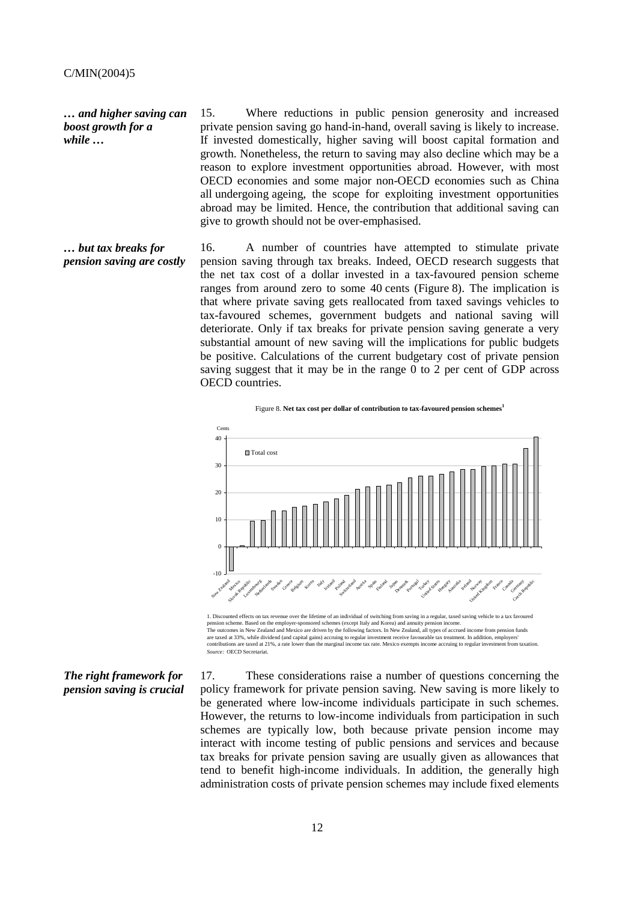*… and higher saving can boost growth for a while …*  15. Where reductions in public pension generosity and increased private pension saving go hand-in-hand, overall saving is likely to increase. If invested domestically, higher saving will boost capital formation and growth. Nonetheless, the return to saving may also decline which may be a reason to explore investment opportunities abroad. However, with most OECD economies and some major non-OECD economies such as China all undergoing ageing, the scope for exploiting investment opportunities abroad may be limited. Hence, the contribution that additional saving can give to growth should not be over-emphasised.

*… but tax breaks for pension saving are costly*  16. A number of countries have attempted to stimulate private pension saving through tax breaks. Indeed, OECD research suggests that the net tax cost of a dollar invested in a tax-favoured pension scheme ranges from around zero to some 40 cents (Figure 8). The implication is that where private saving gets reallocated from taxed savings vehicles to tax-favoured schemes, government budgets and national saving will deteriorate. Only if tax breaks for private pension saving generate a very substantial amount of new saving will the implications for public budgets be positive. Calculations of the current budgetary cost of private pension saving suggest that it may be in the range 0 to 2 per cent of GDP across OECD countries.

Figure 8. **Net tax cost per dollar of contribution to tax-favoured pension schemes<sup>1</sup>**



are taxed at 33%, while dividend (and capital gains) accruing to regular investment receive favourable tax treatment. In addition, employers'<br>contributions are taxed at 21%, a rate lower than the marginal income tax rate. *Source:* OECD Secretariat.

## *The right framework for pension saving is crucial*

17. These considerations raise a number of questions concerning the policy framework for private pension saving. New saving is more likely to be generated where low-income individuals participate in such schemes. However, the returns to low-income individuals from participation in such schemes are typically low, both because private pension income may interact with income testing of public pensions and services and because tax breaks for private pension saving are usually given as allowances that tend to benefit high-income individuals. In addition, the generally high administration costs of private pension schemes may include fixed elements